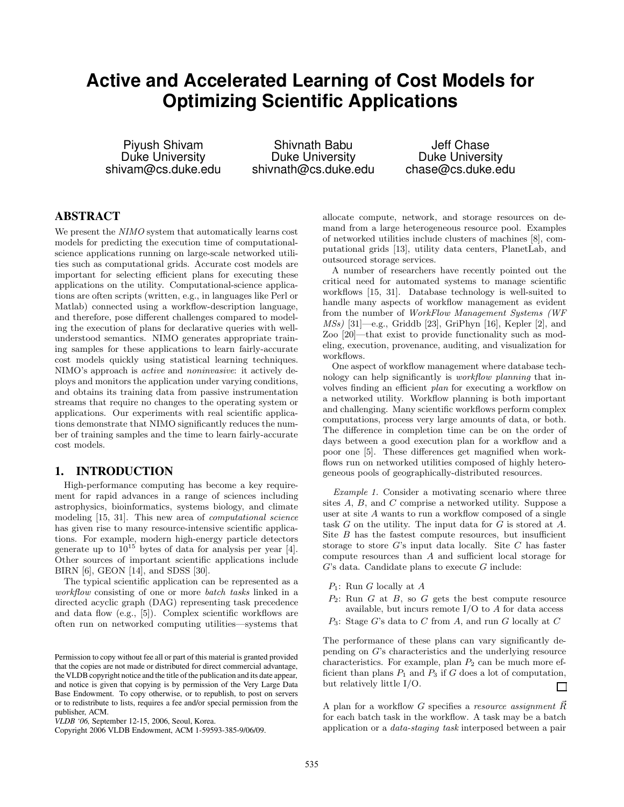# **Active and Accelerated Learning of Cost Models for Optimizing Scientific Applications**

Piyush Shivam Duke University shivam@cs.duke.edu

Shivnath Babu Duke University shivnath@cs.duke.edu

Jeff Chase Duke University chase@cs.duke.edu

# **ABSTRACT**

We present the NIMO system that automatically learns cost models for predicting the execution time of computationalscience applications running on large-scale networked utilities such as computational grids. Accurate cost models are important for selecting efficient plans for executing these applications on the utility. Computational-science applications are often scripts (written, e.g., in languages like Perl or Matlab) connected using a workflow-description language, and therefore, pose different challenges compared to modeling the execution of plans for declarative queries with wellunderstood semantics. NIMO generates appropriate training samples for these applications to learn fairly-accurate cost models quickly using statistical learning techniques. NIMO's approach is active and noninvasive: it actively deploys and monitors the application under varying conditions, and obtains its training data from passive instrumentation streams that require no changes to the operating system or applications. Our experiments with real scientific applications demonstrate that NIMO significantly reduces the number of training samples and the time to learn fairly-accurate cost models.

# **1. INTRODUCTION**

High-performance computing has become a key requirement for rapid advances in a range of sciences including astrophysics, bioinformatics, systems biology, and climate modeling [15, 31]. This new area of computational science has given rise to many resource-intensive scientific applications. For example, modern high-energy particle detectors generate up to  $10^{15}$  bytes of data for analysis per year [4]. Other sources of important scientific applications include BIRN [6], GEON [14], and SDSS [30].

The typical scientific application can be represented as a workflow consisting of one or more batch tasks linked in a directed acyclic graph (DAG) representing task precedence and data flow (e.g., [5]). Complex scientific workflows are often run on networked computing utilities—systems that allocate compute, network, and storage resources on demand from a large heterogeneous resource pool. Examples of networked utilities include clusters of machines [8], computational grids [13], utility data centers, PlanetLab, and outsourced storage services.

A number of researchers have recently pointed out the critical need for automated systems to manage scientific workflows [15, 31]. Database technology is well-suited to handle many aspects of workflow management as evident from the number of WorkFlow Management Systems (WF  $MSs$ ) [31]—e.g., Griddb [23], GriPhyn [16], Kepler [2], and Zoo [20]—that exist to provide functionality such as modeling, execution, provenance, auditing, and visualization for workflows.

One aspect of workflow management where database technology can help significantly is workflow planning that involves finding an efficient plan for executing a workflow on a networked utility. Workflow planning is both important and challenging. Many scientific workflows perform complex computations, process very large amounts of data, or both. The difference in completion time can be on the order of days between a good execution plan for a workflow and a poor one [5]. These differences get magnified when workflows run on networked utilities composed of highly heterogeneous pools of geographically-distributed resources.

Example 1. Consider a motivating scenario where three sites A, B, and C comprise a networked utility. Suppose a user at site A wants to run a workflow composed of a single task G on the utility. The input data for G is stored at A. Site  $B$  has the fastest compute resources, but insufficient storage to store G's input data locally. Site C has faster compute resources than A and sufficient local storage for  $G$ 's data. Candidate plans to execute  $G$  include:

- $P_1$ : Run G locally at A
- $P_2$ : Run G at B, so G gets the best compute resource available, but incurs remote  $I/O$  to  $A$  for data access
- $P_3$ : Stage G's data to C from A, and run G locally at C

The performance of these plans can vary significantly depending on G's characteristics and the underlying resource characteristics. For example, plan  $P_2$  can be much more efficient than plans  $P_1$  and  $P_3$  if G does a lot of computation, but relatively little I/O. П

A plan for a workflow G specifies a resource assignment  $\vec{R}$ for each batch task in the workflow. A task may be a batch application or a data-staging task interposed between a pair

Permission to copy without fee all or part of this material is granted provided that the copies are not made or distributed for direct commercial advantage, the VLDB copyright notice and the title of the publication and its date appear, and notice is given that copying is by permission of the Very Large Data Base Endowment. To copy otherwise, or to republish, to post on servers or to redistribute to lists, requires a fee and/or special permission from the publisher, ACM.

*VLDB '06,* September 12-15, 2006, Seoul, Korea.

Copyright 2006 VLDB Endowment, ACM 1-59593-385-9/06/09.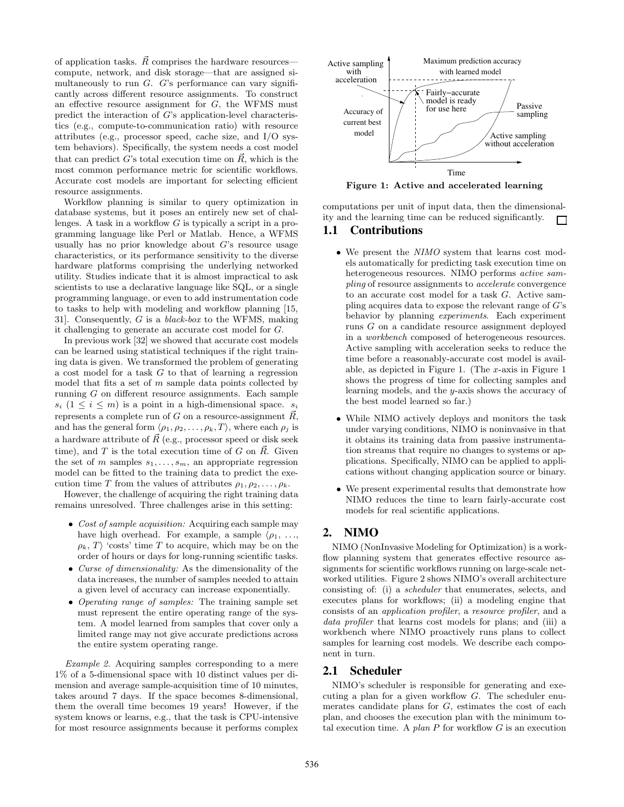of application tasks.  $\vec{R}$  comprises the hardware resources compute, network, and disk storage—that are assigned simultaneously to run  $G$ .  $G$ 's performance can vary significantly across different resource assignments. To construct an effective resource assignment for G, the WFMS must predict the interaction of G's application-level characteristics (e.g., compute-to-communication ratio) with resource attributes (e.g., processor speed, cache size, and I/O system behaviors). Specifically, the system needs a cost model that can predict G's total execution time on  $\vec{R}$ , which is the most common performance metric for scientific workflows. Accurate cost models are important for selecting efficient resource assignments.

Workflow planning is similar to query optimization in database systems, but it poses an entirely new set of challenges. A task in a workflow  $G$  is typically a script in a programming language like Perl or Matlab. Hence, a WFMS usually has no prior knowledge about G's resource usage characteristics, or its performance sensitivity to the diverse hardware platforms comprising the underlying networked utility. Studies indicate that it is almost impractical to ask scientists to use a declarative language like SQL, or a single programming language, or even to add instrumentation code to tasks to help with modeling and workflow planning [15, 31]. Consequently, G is a black-box to the WFMS, making it challenging to generate an accurate cost model for G.

In previous work [32] we showed that accurate cost models can be learned using statistical techniques if the right training data is given. We transformed the problem of generating a cost model for a task G to that of learning a regression model that fits a set of  $m$  sample data points collected by running G on different resource assignments. Each sample  $s_i$   $(1 \leq i \leq m)$  is a point in a high-dimensional space.  $s_i$ represents a complete run of G on a resource-assignment  $\overline{R}$ , and has the general form  $\langle \rho_1, \rho_2, \ldots, \rho_k, T \rangle$ , where each  $\rho_j$  is a hardware attribute of  $\vec{R}$  (e.g., processor speed or disk seek time), and T is the total execution time of G on  $\vec{R}$ . Given the set of m samples  $s_1, \ldots, s_m$ , an appropriate regression model can be fitted to the training data to predict the execution time T from the values of attributes  $\rho_1, \rho_2, \ldots, \rho_k$ .

However, the challenge of acquiring the right training data remains unresolved. Three challenges arise in this setting:

- Cost of sample acquisition: Acquiring each sample may have high overhead. For example, a sample  $\langle \rho_1, \ldots, \rho_n \rangle$  $\rho_k$ , T 'costs' time T to acquire, which may be on the order of hours or days for long-running scientific tasks.
- Curse of dimensionality: As the dimensionality of the data increases, the number of samples needed to attain a given level of accuracy can increase exponentially.
- Operating range of samples: The training sample set must represent the entire operating range of the system. A model learned from samples that cover only a limited range may not give accurate predictions across the entire system operating range.

Example 2. Acquiring samples corresponding to a mere 1% of a 5-dimensional space with 10 distinct values per dimension and average sample-acquisition time of 10 minutes, takes around 7 days. If the space becomes 8-dimensional, them the overall time becomes 19 years! However, if the system knows or learns, e.g., that the task is CPU-intensive for most resource assignments because it performs complex



Figure 1: Active and accelerated learning

computations per unit of input data, then the dimensionality and the learning time can be reduced significantly.  $\Box$ 

# **1.1 Contributions**

- We present the NIMO system that learns cost models automatically for predicting task execution time on heterogeneous resources. NIMO performs active sampling of resource assignments to accelerate convergence to an accurate cost model for a task G. Active sampling acquires data to expose the relevant range of  $G$ 's behavior by planning experiments. Each experiment runs G on a candidate resource assignment deployed in a workbench composed of heterogeneous resources. Active sampling with acceleration seeks to reduce the time before a reasonably-accurate cost model is available, as depicted in Figure 1. (The x-axis in Figure 1 shows the progress of time for collecting samples and learning models, and the y-axis shows the accuracy of the best model learned so far.)
- While NIMO actively deploys and monitors the task under varying conditions, NIMO is noninvasive in that it obtains its training data from passive instrumentation streams that require no changes to systems or applications. Specifically, NIMO can be applied to applications without changing application source or binary.
- We present experimental results that demonstrate how NIMO reduces the time to learn fairly-accurate cost models for real scientific applications.

# **2. NIMO**

NIMO (NonInvasive Modeling for Optimization) is a workflow planning system that generates effective resource assignments for scientific workflows running on large-scale networked utilities. Figure 2 shows NIMO's overall architecture consisting of: (i) a scheduler that enumerates, selects, and executes plans for workflows; (ii) a modeling engine that consists of an application profiler, a resource profiler, and a data profiler that learns cost models for plans; and (iii) a workbench where NIMO proactively runs plans to collect samples for learning cost models. We describe each component in turn.

#### **2.1 Scheduler**

NIMO's scheduler is responsible for generating and executing a plan for a given workflow G. The scheduler enumerates candidate plans for  $G$ , estimates the cost of each plan, and chooses the execution plan with the minimum total execution time. A plan  $P$  for workflow  $G$  is an execution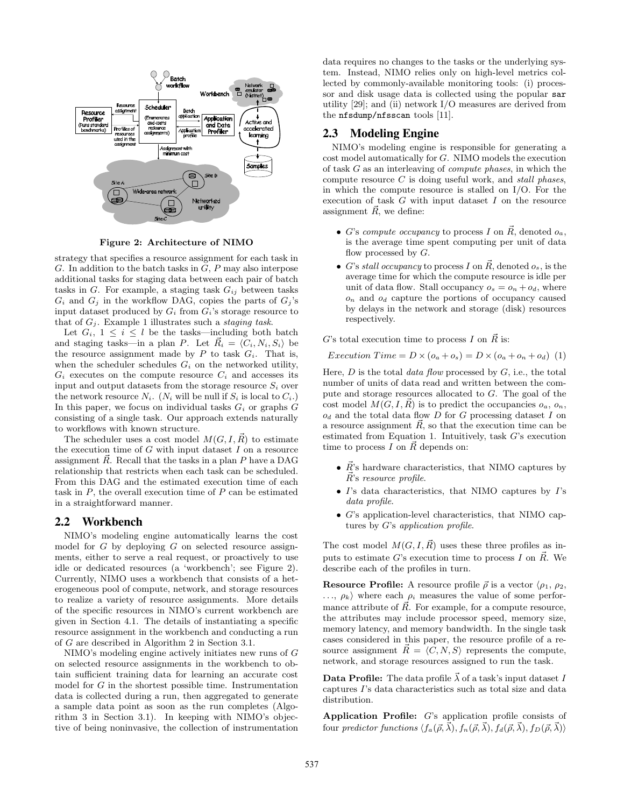

Figure 2: Architecture of NIMO

strategy that specifies a resource assignment for each task in  $G$ . In addition to the batch tasks in  $G$ ,  $P$  may also interpose additional tasks for staging data between each pair of batch tasks in  $G$ . For example, a staging task  $G_{ij}$  between tasks  $G_i$  and  $G_j$  in the workflow DAG, copies the parts of  $G_j$ 's input dataset produced by  $G_i$  from  $G_i$ 's storage resource to that of  $G_i$ . Example 1 illustrates such a *staging task*.

Let  $G_i$ ,  $1 \leq i \leq l$  be the tasks—including both batch and staging tasks—in a plan P. Let  $\vec{R}_i = \langle C_i, N_i, S_i \rangle$  be the resource assignment made by  $P$  to task  $G_i$ . That is, when the scheduler schedules  $G_i$  on the networked utility,  $G_i$  executes on the compute resource  $C_i$  and accesses its input and output datasets from the storage resource  $S_i$  over the network resource  $N_i$ . ( $N_i$  will be null if  $S_i$  is local to  $C_i$ .) In this paper, we focus on individual tasks  $G_i$  or graphs  $G$ consisting of a single task. Our approach extends naturally to workflows with known structure.

The scheduler uses a cost model  $M(G, I, \vec{R})$  to estimate the execution time of  $G$  with input dataset  $I$  on a resource assignment  $\vec{R}$ . Recall that the tasks in a plan P have a DAG relationship that restricts when each task can be scheduled. From this DAG and the estimated execution time of each task in  $P$ , the overall execution time of  $P$  can be estimated in a straightforward manner.

#### **2.2 Workbench**

NIMO's modeling engine automatically learns the cost model for  $G$  by deploying  $G$  on selected resource assignments, either to serve a real request, or proactively to use idle or dedicated resources (a 'workbench'; see Figure 2). Currently, NIMO uses a workbench that consists of a heterogeneous pool of compute, network, and storage resources to realize a variety of resource assignments. More details of the specific resources in NIMO's current workbench are given in Section 4.1. The details of instantiating a specific resource assignment in the workbench and conducting a run of G are described in Algorithm 2 in Section 3.1.

NIMO's modeling engine actively initiates new runs of G on selected resource assignments in the workbench to obtain sufficient training data for learning an accurate cost model for G in the shortest possible time. Instrumentation data is collected during a run, then aggregated to generate a sample data point as soon as the run completes (Algorithm 3 in Section 3.1). In keeping with NIMO's objective of being noninvasive, the collection of instrumentation data requires no changes to the tasks or the underlying system. Instead, NIMO relies only on high-level metrics collected by commonly-available monitoring tools: (i) processor and disk usage data is collected using the popular sar utility [29]; and (ii) network I/O measures are derived from the nfsdump/nfsscan tools [11].

## **2.3 Modeling Engine**

NIMO's modeling engine is responsible for generating a cost model automatically for G. NIMO models the execution of task G as an interleaving of compute phases, in which the compute resource  $C$  is doing useful work, and stall phases, in which the compute resource is stalled on I/O. For the execution of task  $G$  with input dataset  $I$  on the resource assignment  $\vec{R}$ , we define:

- G's compute occupancy to process I on  $\vec{R}$ , denoted  $o_a$ , is the average time spent computing per unit of data flow processed by  $G$ .
- G's stall occupancy to process I on  $\vec{R}$ , denoted  $o_s$ , is the average time for which the compute resource is idle per unit of data flow. Stall occupancy  $o_s = o_n + o_d$ , where  $o_n$  and  $o_d$  capture the portions of occupancy caused by delays in the network and storage (disk) resources respectively.

G's total execution time to process I on  $\vec{R}$  is:

$$
Execution Time = D \times (o_a + o_s) = D \times (o_a + o_n + o_d)
$$
 (1)

Here,  $D$  is the total *data flow* processed by  $G$ , i.e., the total number of units of data read and written between the compute and storage resources allocated to G. The goal of the cost model  $M(G, I, \vec{R})$  is to predict the occupancies  $o_a, o_n$ ,  $o_d$  and the total data flow  $D$  for  $G$  processing dataset  $I$  on a resource assignment  $\vec{R}$ , so that the execution time can be estimated from Equation 1. Intuitively, task G's execution time to process I on  $\vec{R}$  depends on:

- $\vec{R}$ 's hardware characteristics, that NIMO captures by  $\vec{R}$ 's resource profile.
- $\bullet$  I's data characteristics, that NIMO captures by I's data profile.
- G's application-level characteristics, that NIMO captures by G's application profile.

The cost model  $M(G, I, \vec{R})$  uses these three profiles as inputs to estimate G's execution time to process I on  $\vec{R}$ . We describe each of the profiles in turn.

**Resource Profile:** A resource profile  $\vec{\rho}$  is a vector  $\langle \rho_1, \rho_2, \rho_3 \rangle$  $\ldots, \rho_k$  where each  $\rho_i$  measures the value of some performance attribute of  $\vec{R}$ . For example, for a compute resource, the attributes may include processor speed, memory size, memory latency, and memory bandwidth. In the single task cases considered in this paper, the resource profile of a resource assignment  $\vec{R} = \langle C, N, S \rangle$  represents the compute, network, and storage resources assigned to run the task.

**Data Profile:** The data profile  $\vec{\lambda}$  of a task's input dataset I captures I's data characteristics such as total size and data distribution.

Application Profile: G's application profile consists of four predictor functions  $\langle f_a(\vec{\rho}, \vec{\lambda}), f_n(\vec{\rho}, \vec{\lambda}), f_d(\vec{\rho}, \vec{\lambda}), f_D(\vec{\rho}, \vec{\lambda}) \rangle$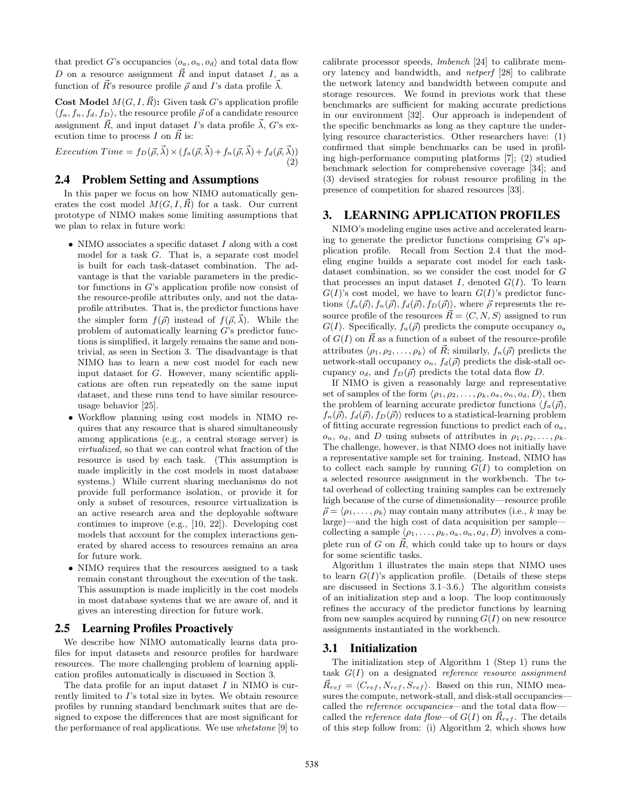that predict G's occupancies  $\langle o_a, o_n, o_d \rangle$  and total data flow D on a resource assignment  $\vec{R}$  and input dataset I, as a function of  $\vec{R}$ 's resource profile  $\vec{\rho}$  and I's data profile  $\vec{\lambda}$ .

**Cost Model**  $M(G, I, \vec{R})$ : Given task G's application profile  $\langle f_a, f_n, f_d, f_D \rangle$ , the resource profile  $\vec{\rho}$  of a candidate resource assignment  $\vec{R}$ , and input dataset I's data profile  $\vec{\lambda}$ , G's execution time to process I on  $\vec{R}$  is:

Execution Time =  $f_D(\vec{\rho}, \vec{\lambda}) \times (f_a(\vec{\rho}, \vec{\lambda}) + f_n(\vec{\rho}, \vec{\lambda}) + f_d(\vec{\rho}, \vec{\lambda}))$ (2)

# **2.4 Problem Setting and Assumptions**

In this paper we focus on how NIMO automatically generates the cost model  $M(G, I, \overrightarrow{R})$  for a task. Our current prototype of NIMO makes some limiting assumptions that we plan to relax in future work:

- NIMO associates a specific dataset I along with a cost model for a task G. That is, a separate cost model is built for each task-dataset combination. The advantage is that the variable parameters in the predictor functions in G's application profile now consist of the resource-profile attributes only, and not the dataprofile attributes. That is, the predictor functions have the simpler form  $f(\vec{\rho})$  instead of  $f(\vec{\rho}, \vec{\lambda})$ . While the problem of automatically learning G's predictor functions is simplified, it largely remains the same and nontrivial, as seen in Section 3. The disadvantage is that NIMO has to learn a new cost model for each new input dataset for G. However, many scientific applications are often run repeatedly on the same input dataset, and these runs tend to have similar resourceusage behavior [25].
- Workflow planning using cost models in NIMO requires that any resource that is shared simultaneously among applications (e.g., a central storage server) is virtualized, so that we can control what fraction of the resource is used by each task. (This assumption is made implicitly in the cost models in most database systems.) While current sharing mechanisms do not provide full performance isolation, or provide it for only a subset of resources, resource virtualization is an active research area and the deployable software continues to improve (e.g., [10, 22]). Developing cost models that account for the complex interactions generated by shared access to resources remains an area for future work.
- NIMO requires that the resources assigned to a task remain constant throughout the execution of the task. This assumption is made implicitly in the cost models in most database systems that we are aware of, and it gives an interesting direction for future work.

#### **2.5 Learning Profiles Proactively**

We describe how NIMO automatically learns data profiles for input datasets and resource profiles for hardware resources. The more challenging problem of learning application profiles automatically is discussed in Section 3.

The data profile for an input dataset  $I$  in NIMO is currently limited to I's total size in bytes. We obtain resource profiles by running standard benchmark suites that are designed to expose the differences that are most significant for the performance of real applications. We use whetstone [9] to calibrate processor speeds, lmbench [24] to calibrate memory latency and bandwidth, and netperf [28] to calibrate the network latency and bandwidth between compute and storage resources. We found in previous work that these benchmarks are sufficient for making accurate predictions in our environment [32]. Our approach is independent of the specific benchmarks as long as they capture the underlying resource characteristics. Other researchers have: (1) confirmed that simple benchmarks can be used in profiling high-performance computing platforms [7]; (2) studied benchmark selection for comprehensive coverage [34]; and (3) devised strategies for robust resource profiling in the presence of competition for shared resources [33].

#### **3. LEARNING APPLICATION PROFILES**

NIMO's modeling engine uses active and accelerated learning to generate the predictor functions comprising  $G$ 's application profile. Recall from Section 2.4 that the modeling engine builds a separate cost model for each taskdataset combination, so we consider the cost model for G that processes an input dataset I, denoted  $G(I)$ . To learn  $G(I)$ 's cost model, we have to learn  $G(I)$ 's predictor functions  $\langle f_a(\vec{\rho}), f_n(\vec{\rho}), f_d(\vec{\rho}), f_D(\vec{\rho})\rangle$ , where  $\vec{\rho}$  represents the resource profile of the resources  $\vec{R} = \langle C, N, S \rangle$  assigned to run  $G(I)$ . Specifically,  $f_a(\vec{\rho})$  predicts the compute occupancy  $o_a$ of  $G(I)$  on  $\vec{R}$  as a function of a subset of the resource-profile attributes  $\langle \rho_1, \rho_2, \ldots, \rho_k \rangle$  of  $\vec{R}$ ; similarly,  $f_n(\vec{\rho})$  predicts the network-stall occupancy  $o_n$ ,  $f_d(\vec{\rho})$  predicts the disk-stall occupancy  $o_d$ , and  $f_D(\vec{\rho})$  predicts the total data flow D.

If NIMO is given a reasonably large and representative set of samples of the form  $\langle \rho_1, \rho_2, \ldots, \rho_k, o_a, o_n, o_d, D \rangle$ , then the problem of learning accurate predictor functions  $\langle f_a(\vec{\rho}),$  $f_n(\vec{\rho}), f_d(\vec{\rho}), f_D(\vec{\rho})\rangle$  reduces to a statistical-learning problem of fitting accurate regression functions to predict each of  $o_a$ ,  $o_n$ ,  $o_d$ , and D using subsets of attributes in  $\rho_1, \rho_2, \ldots, \rho_k$ . The challenge, however, is that NIMO does not initially have a representative sample set for training. Instead, NIMO has to collect each sample by running  $G(I)$  to completion on a selected resource assignment in the workbench. The total overhead of collecting training samples can be extremely high because of the curse of dimensionality—resource profile  $\vec{\rho} = \langle \rho_1, \ldots, \rho_k \rangle$  may contain many attributes (i.e., k may be large)—and the high cost of data acquisition per sample collecting a sample  $\langle \rho_1, \ldots, \rho_k, o_a, o_n, o_d, D \rangle$  involves a complete run of G on  $\vec{R}$ , which could take up to hours or days for some scientific tasks.

Algorithm 1 illustrates the main steps that NIMO uses to learn  $G(I)$ 's application profile. (Details of these steps are discussed in Sections 3.1–3.6.) The algorithm consists of an initialization step and a loop. The loop continuously refines the accuracy of the predictor functions by learning from new samples acquired by running  $G(I)$  on new resource assignments instantiated in the workbench.

#### **3.1 Initialization**

The initialization step of Algorithm 1 (Step 1) runs the task  $G(I)$  on a designated reference resource assignment  $R_{ref} = \langle C_{ref}, N_{ref}, S_{ref} \rangle$ . Based on this run, NIMO measures the compute, network-stall, and disk-stall occupancies called the *reference* occupancies—and the total data flowcalled the *reference data flow*—of  $G(I)$  on  $\vec{R}_{ref}$ . The details of this step follow from: (i) Algorithm 2, which shows how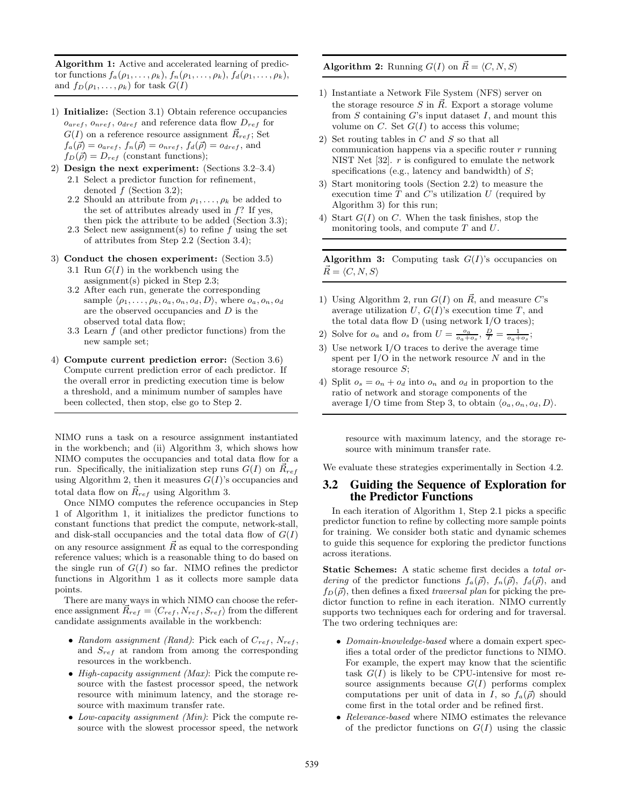Algorithm 1: Active and accelerated learning of predictor functions  $f_a(\rho_1,\ldots,\rho_k)$ ,  $f_n(\rho_1,\ldots,\rho_k)$ ,  $f_d(\rho_1,\ldots,\rho_k)$ , and  $f_D(\rho_1, \ldots, \rho_k)$  for task  $G(I)$ 

- 1) Initialize: (Section 3.1) Obtain reference occupancies  $o_{aref}, o_{nref}, o_{dref}$  and reference data flow  $D_{ref}$  for  $G(I)$  on a reference resource assignment  $\vec{R}_{ref}$ ; Set  $f_a(\vec{\rho}) = o_{aref}, f_n(\vec{\rho}) = o_{nref}, f_d(\vec{\rho}) = o_{dref},$  and  $f_D(\vec{\rho}) = D_{ref}$  (constant functions);
- 2) Design the next experiment: (Sections 3.2–3.4) 2.1 Select a predictor function for refinement, denoted  $f$  (Section 3.2);
	- 2.2 Should an attribute from  $\rho_1, \ldots, \rho_k$  be added to the set of attributes already used in  $f$ ? If yes, then pick the attribute to be added (Section 3.3);
	- 2.3 Select new assignment(s) to refine  $f$  using the set of attributes from Step 2.2 (Section 3.4);
- 3) Conduct the chosen experiment: (Section 3.5)
	- 3.1 Run  $G(I)$  in the workbench using the assignment(s) picked in Step 2.3;
	- 3.2 After each run, generate the corresponding sample  $\langle \rho_1, \ldots, \rho_k, o_a, o_n, o_d, D \rangle$ , where  $o_a, o_n, o_d$ are the observed occupancies and D is the observed total data flow;
	- 3.3 Learn  $f$  (and other predictor functions) from the new sample set;
- 4) Compute current prediction error: (Section 3.6) Compute current prediction error of each predictor. If the overall error in predicting execution time is below a threshold, and a minimum number of samples have been collected, then stop, else go to Step 2.

NIMO runs a task on a resource assignment instantiated in the workbench; and (ii) Algorithm 3, which shows how NIMO computes the occupancies and total data flow for a run. Specifically, the initialization step runs  $G(I)$  on  $\vec{R}_{ref}$ using Algorithm 2, then it measures  $G(I)$ 's occupancies and total data flow on  $\vec{R}_{ref}$  using Algorithm 3.

Once NIMO computes the reference occupancies in Step 1 of Algorithm 1, it initializes the predictor functions to constant functions that predict the compute, network-stall, and disk-stall occupancies and the total data flow of  $G(I)$ on any resource assignment  $\vec{R}$  as equal to the corresponding reference values; which is a reasonable thing to do based on the single run of  $G(I)$  so far. NIMO refines the predictor functions in Algorithm 1 as it collects more sample data points.

There are many ways in which NIMO can choose the reference assignment  $\vec{R}_{ref} = \langle C_{ref}, N_{ref}, S_{ref} \rangle$  from the different candidate assignments available in the workbench:

- Random assignment (Rand): Pick each of  $C_{ref}$ ,  $N_{ref}$ , and  $S_{ref}$  at random from among the corresponding resources in the workbench.
- High-capacity assignment (Max): Pick the compute resource with the fastest processor speed, the network resource with minimum latency, and the storage resource with maximum transfer rate.
- Low-capacity assignment (Min): Pick the compute resource with the slowest processor speed, the network

**Algorithm 2:** Running  $G(I)$  on  $\vec{R} = \langle C, N, S \rangle$ 

- 1) Instantiate a Network File System (NFS) server on the storage resource S in  $\vec{R}$ . Export a storage volume from  $S$  containing  $G$ 's input dataset  $I$ , and mount this volume on  $C$ . Set  $G(I)$  to access this volume;
- 2) Set routing tables in C and S so that all communication happens via a specific router  $r$  running NIST Net  $[32]$ .  $r$  is configured to emulate the network specifications (e.g., latency and bandwidth) of  $S$ ;
- 3) Start monitoring tools (Section 2.2) to measure the execution time  $T$  and  $C$ 's utilization  $U$  (required by Algorithm 3) for this run;
- 4) Start  $G(I)$  on C. When the task finishes, stop the monitoring tools, and compute  $T$  and  $U$ .

**Algorithm 3:** Computing task  $G(I)$ 's occupancies on  $R = \langle C, N, S \rangle$ 

- 1) Using Algorithm 2, run  $G(I)$  on  $\vec{R}$ , and measure C's average utilization  $U, G(I)$ 's execution time  $T$ , and the total data flow D (using network I/O traces);
- 2) Solve for  $o_a$  and  $o_s$  from  $U = \frac{o_a}{o_a + o_s}$ ,  $\frac{D}{T} = \frac{1}{o_a + o_s}$ ;
- 3) Use network I/O traces to derive the average time spent per  $I/O$  in the network resource  $N$  and in the storage resource  $S$ ;
- 4) Split  $o_s = o_n + o_d$  into  $o_n$  and  $o_d$  in proportion to the ratio of network and storage components of the average I/O time from Step 3, to obtain  $\langle o_a, o_n, o_d, D \rangle$ .

resource with maximum latency, and the storage resource with minimum transfer rate.

We evaluate these strategies experimentally in Section 4.2.

#### **3.2 Guiding the Sequence of Exploration for the Predictor Functions**

In each iteration of Algorithm 1, Step 2.1 picks a specific predictor function to refine by collecting more sample points for training. We consider both static and dynamic schemes to guide this sequence for exploring the predictor functions across iterations.

Static Schemes: A static scheme first decides a total ordering of the predictor functions  $f_a(\vec{\rho}), f_a(\vec{\rho}), f_d(\vec{\rho})$ , and  $f_D(\vec{\rho})$ , then defines a fixed traversal plan for picking the predictor function to refine in each iteration. NIMO currently supports two techniques each for ordering and for traversal. The two ordering techniques are:

- Domain-knowledge-based where a domain expert specifies a total order of the predictor functions to NIMO. For example, the expert may know that the scientific task  $G(I)$  is likely to be CPU-intensive for most resource assignments because  $G(I)$  performs complex computations per unit of data in I, so  $f_a(\vec{\rho})$  should come first in the total order and be refined first.
- Relevance-based where NIMO estimates the relevance of the predictor functions on  $G(I)$  using the classic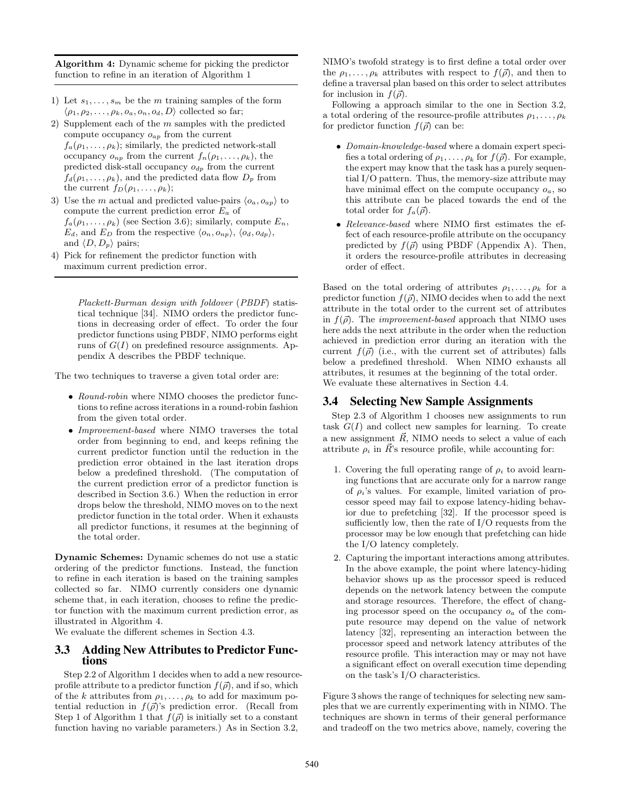Algorithm 4: Dynamic scheme for picking the predictor function to refine in an iteration of Algorithm 1

- 1) Let  $s_1, \ldots, s_m$  be the m training samples of the form  $\langle \rho_1, \rho_2, \ldots, \rho_k, o_a, o_n, o_d, D \rangle$  collected so far;
- 2) Supplement each of the  $m$  samples with the predicted compute occupancy  $o_{ap}$  from the current  $f_a(\rho_1,\ldots,\rho_k)$ ; similarly, the predicted network-stall occupancy  $o_{np}$  from the current  $f_n(\rho_1, \ldots, \rho_k)$ , the predicted disk-stall occupancy  $o_{dp}$  from the current  $f_d(\rho_1,\ldots,\rho_k)$ , and the predicted data flow  $D_p$  from the current  $f_D(\rho_1, \ldots, \rho_k);$
- 3) Use the m actual and predicted value-pairs  $\langle o_a, o_{ap} \rangle$  to compute the current prediction error  $E_a$  of  $f_a(\rho_1,\ldots,\rho_k)$  (see Section 3.6); similarly, compute  $E_n$ ,  $E_d$ , and  $E_D$  from the respective  $\langle o_n, o_{np} \rangle$ ,  $\langle o_d, o_{dp} \rangle$ , and  $\langle D, D_p \rangle$  pairs;
- 4) Pick for refinement the predictor function with maximum current prediction error.

Plackett-Burman design with foldover (PBDF) statistical technique [34]. NIMO orders the predictor functions in decreasing order of effect. To order the four predictor functions using PBDF, NIMO performs eight runs of  $G(I)$  on predefined resource assignments. Appendix A describes the PBDF technique.

The two techniques to traverse a given total order are:

- Round-robin where NIMO chooses the predictor functions to refine across iterations in a round-robin fashion from the given total order.
- Improvement-based where NIMO traverses the total order from beginning to end, and keeps refining the current predictor function until the reduction in the prediction error obtained in the last iteration drops below a predefined threshold. (The computation of the current prediction error of a predictor function is described in Section 3.6.) When the reduction in error drops below the threshold, NIMO moves on to the next predictor function in the total order. When it exhausts all predictor functions, it resumes at the beginning of the total order.

Dynamic Schemes: Dynamic schemes do not use a static ordering of the predictor functions. Instead, the function to refine in each iteration is based on the training samples collected so far. NIMO currently considers one dynamic scheme that, in each iteration, chooses to refine the predictor function with the maximum current prediction error, as illustrated in Algorithm 4.

We evaluate the different schemes in Section 4.3.

#### **3.3 Adding New Attributes to Predictor Functions**

Step 2.2 of Algorithm 1 decides when to add a new resourceprofile attribute to a predictor function  $f(\vec{\rho})$ , and if so, which of the k attributes from  $\rho_1, \ldots, \rho_k$  to add for maximum potential reduction in  $f(\vec{\rho})$ 's prediction error. (Recall from Step 1 of Algorithm 1 that  $f(\vec{\rho})$  is initially set to a constant function having no variable parameters.) As in Section 3.2,

NIMO's twofold strategy is to first define a total order over the  $\rho_1, \ldots, \rho_k$  attributes with respect to  $f(\vec{\rho})$ , and then to define a traversal plan based on this order to select attributes for inclusion in  $f(\vec{\rho})$ .

Following a approach similar to the one in Section 3.2, a total ordering of the resource-profile attributes  $\rho_1, \ldots, \rho_k$ for predictor function  $f(\vec{\rho})$  can be:

- Domain-knowledge-based where a domain expert specifies a total ordering of  $\rho_1, \ldots, \rho_k$  for  $f(\vec{\rho})$ . For example, the expert may know that the task has a purely sequential I/O pattern. Thus, the memory-size attribute may have minimal effect on the compute occupancy  $o_a$ , so this attribute can be placed towards the end of the total order for  $f_a(\vec{\rho})$ .
- Relevance-based where NIMO first estimates the effect of each resource-profile attribute on the occupancy predicted by  $f(\vec{\rho})$  using PBDF (Appendix A). Then, it orders the resource-profile attributes in decreasing order of effect.

Based on the total ordering of attributes  $\rho_1, \ldots, \rho_k$  for a predictor function  $f(\vec{\rho})$ , NIMO decides when to add the next attribute in the total order to the current set of attributes in  $f(\vec{\rho})$ . The *improvement-based* approach that NIMO uses here adds the next attribute in the order when the reduction achieved in prediction error during an iteration with the current  $f(\vec{\rho})$  (i.e., with the current set of attributes) falls below a predefined threshold. When NIMO exhausts all attributes, it resumes at the beginning of the total order. We evaluate these alternatives in Section 4.4.

#### **3.4 Selecting New Sample Assignments**

Step 2.3 of Algorithm 1 chooses new assignments to run task  $G(I)$  and collect new samples for learning. To create a new assignment  $\vec{R}$ , NIMO needs to select a value of each attribute  $\rho_i$  in  $\vec{R}$ 's resource profile, while accounting for:

- 1. Covering the full operating range of  $\rho_i$  to avoid learning functions that are accurate only for a narrow range of  $\rho_i$ 's values. For example, limited variation of processor speed may fail to expose latency-hiding behavior due to prefetching [32]. If the processor speed is sufficiently low, then the rate of I/O requests from the processor may be low enough that prefetching can hide the I/O latency completely.
- 2. Capturing the important interactions among attributes. In the above example, the point where latency-hiding behavior shows up as the processor speed is reduced depends on the network latency between the compute and storage resources. Therefore, the effect of changing processor speed on the occupancy  $o_a$  of the compute resource may depend on the value of network latency [32], representing an interaction between the processor speed and network latency attributes of the resource profile. This interaction may or may not have a significant effect on overall execution time depending on the task's I/O characteristics.

Figure 3 shows the range of techniques for selecting new samples that we are currently experimenting with in NIMO. The techniques are shown in terms of their general performance and tradeoff on the two metrics above, namely, covering the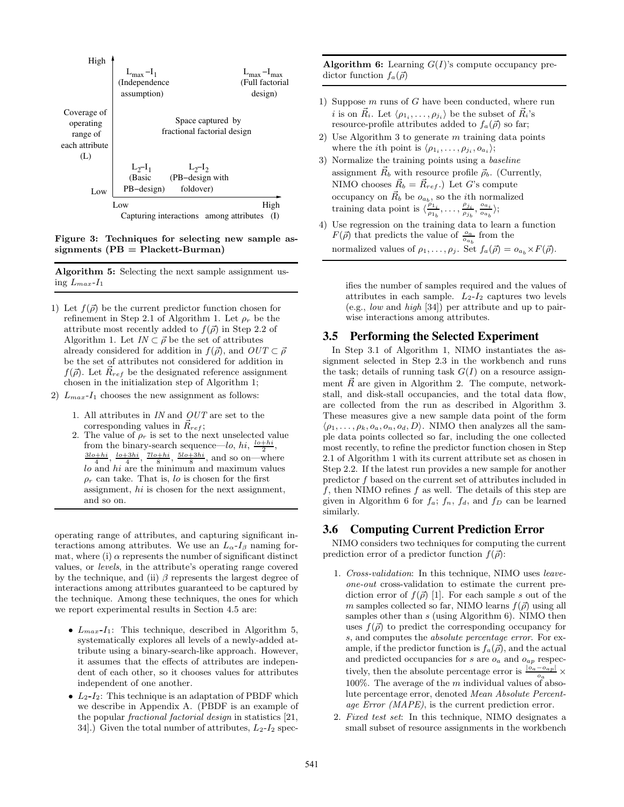

Figure 3: Techniques for selecting new sample as $signments (PB = Plackett-Burman)$ 

Algorithm 5: Selecting the next sample assignment using  $L_{max}$ - $I_1$ 

- 1) Let  $f(\vec{\rho})$  be the current predictor function chosen for refinement in Step 2.1 of Algorithm 1. Let  $\rho_r$  be the attribute most recently added to  $f(\vec{\rho})$  in Step 2.2 of Algorithm 1. Let  $IN \subset \vec{\rho}$  be the set of attributes already considered for addition in  $f(\vec{\rho})$ , and  $OUT \subset \vec{\rho}$ be the set of attributes not considered for addition in  $f(\vec{\rho})$ . Let  $R_{ref}$  be the designated reference assignment chosen in the initialization step of Algorithm 1;
- 2)  $L_{max}$ - $I_1$  chooses the new assignment as follows:
	- 1. All attributes in IN and OUT are set to the corresponding values in  $\vec{R}_{ref}$ ;
	- 2. The value of  $\rho_r$  is set to the next unselected value from the binary-search sequence—lo, hi,  $\frac{lo+hi}{2}$ ,  $\frac{3lo+hi}{4}$ ,  $\frac{lo+3hi}{4}$ ,  $\frac{7lo+hi}{8}$ ,  $\frac{5lo+3hi}{8}$ , and so on—where  $lo$  and  $hi$  are the minimum and maximum values  $\rho_r$  can take. That is, lo is chosen for the first assignment, hi is chosen for the next assignment, and so on.

operating range of attributes, and capturing significant interactions among attributes. We use an  $L_{\alpha}$ - $I_{\beta}$  naming format, where (i)  $\alpha$  represents the number of significant distinct values, or levels, in the attribute's operating range covered by the technique, and (ii)  $\beta$  represents the largest degree of interactions among attributes guaranteed to be captured by the technique. Among these techniques, the ones for which we report experimental results in Section 4.5 are:

- $L_{max}$ - $I_1$ : This technique, described in Algorithm 5, systematically explores all levels of a newly-added attribute using a binary-search-like approach. However, it assumes that the effects of attributes are independent of each other, so it chooses values for attributes independent of one another.
- $L_2 I_2$ : This technique is an adaptation of PBDF which we describe in Appendix A. (PBDF is an example of the popular fractional factorial design in statistics [21, 34.) Given the total number of attributes,  $L_2-I_2$  spec-

**Algorithm 6:** Learning  $G(I)$ 's compute occupancy predictor function  $f_a(\vec{\rho})$ 

- 1) Suppose  $m$  runs of  $G$  have been conducted, where run *i* is on  $\vec{R}_i$ . Let  $\langle \rho_1, \ldots, \rho_{j_i} \rangle$  be the subset of  $\vec{R}_i$ 's resource-profile attributes added to  $f_a(\vec{\rho})$  so far;
- 2) Use Algorithm 3 to generate  $m$  training data points where the *i*th point is  $\langle \rho_1, \ldots, \rho_{j_i}, o_{a_i} \rangle;$
- 3) Normalize the training points using a baseline assignment  $\vec{R}_b$  with resource profile  $\vec{\rho}_b$ . (Currently, NIMO chooses  $\vec{R}_b = \vec{R}_{ref}$ .) Let G's compute occupancy on  $\vec{R}_b$  be  $o_{a_b}$ , so the *i*<sup>th</sup> normalized training data point is  $\langle \frac{\rho_1}{\rho_1} \rangle$  $\frac{\rho_{1_i}}{\rho_{1_b}},\ldots,\frac{\rho_{j_i}}{\rho_{j_b}}$  $\frac{\rho_{j_i}}{\rho_{j_b}}, \frac{o_{a_i}}{o_{a_b}}$  $\frac{\partial a_i}{\partial a_b}\rangle;$
- 4) Use regression on the training data to learn a function  $F(\vec{\rho})$  that predicts the value of  $\frac{o_a}{o_{a_b}}$  from the normalized values of  $\rho_1, \ldots, \rho_j$ . Set  $f_a(\vec{\rho}) = o_{a_b} \times F(\vec{\rho})$ .

ifies the number of samples required and the values of attributes in each sample.  $L_2-I_2$  captures two levels (e.g., low and high [34]) per attribute and up to pairwise interactions among attributes.

## **3.5 Performing the Selected Experiment**

In Step 3.1 of Algorithm 1, NIMO instantiates the assignment selected in Step 2.3 in the workbench and runs the task; details of running task  $G(I)$  on a resource assignment  $\vec{R}$  are given in Algorithm 2. The compute, networkstall, and disk-stall occupancies, and the total data flow, are collected from the run as described in Algorithm 3. These measures give a new sample data point of the form  $\langle \rho_1, \ldots, \rho_k, o_a, o_n, o_d, D \rangle$ . NIMO then analyzes all the sample data points collected so far, including the one collected most recently, to refine the predictor function chosen in Step 2.1 of Algorithm 1 with its current attribute set as chosen in Step 2.2. If the latest run provides a new sample for another predictor f based on the current set of attributes included in  $f$ , then NIMO refines  $f$  as well. The details of this step are given in Algorithm 6 for  $f_a$ ;  $f_n$ ,  $f_d$ , and  $f_D$  can be learned similarly.

# **3.6 Computing Current Prediction Error**

NIMO considers two techniques for computing the current prediction error of a predictor function  $f(\vec{\rho})$ :

- 1. Cross-validation: In this technique, NIMO uses leaveone-out cross-validation to estimate the current prediction error of  $f(\vec{\rho})$  [1]. For each sample s out of the m samples collected so far, NIMO learns  $f(\vec{\rho})$  using all samples other than s (using Algorithm 6). NIMO then uses  $f(\vec{\rho})$  to predict the corresponding occupancy for s, and computes the absolute percentage error. For example, if the predictor function is  $f_a(\vec{\rho})$ , and the actual and predicted occupancies for s are  $o_a$  and  $o_{ap}$  respectively, then the absolute percentage error is  $\frac{|o_a - o_{ap}|}{o_a} \times$ 100%. The average of the  $m$  individual values of absolute percentage error, denoted Mean Absolute Percentage Error (MAPE), is the current prediction error.
- 2. Fixed test set: In this technique, NIMO designates a small subset of resource assignments in the workbench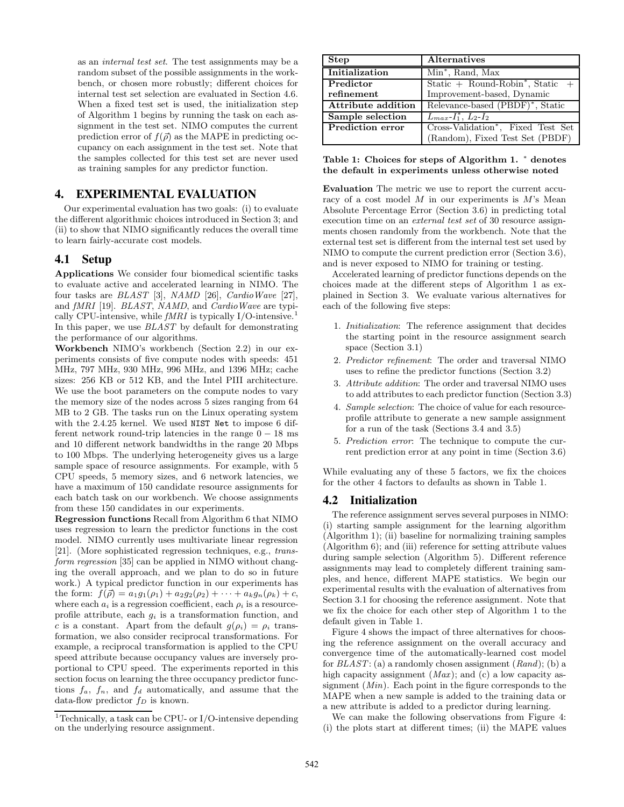as an internal test set. The test assignments may be a random subset of the possible assignments in the workbench, or chosen more robustly; different choices for internal test set selection are evaluated in Section 4.6. When a fixed test set is used, the initialization step of Algorithm 1 begins by running the task on each assignment in the test set. NIMO computes the current prediction error of  $f(\vec{\rho})$  as the MAPE in predicting occupancy on each assignment in the test set. Note that the samples collected for this test set are never used as training samples for any predictor function.

# **4. EXPERIMENTAL EVALUATION**

Our experimental evaluation has two goals: (i) to evaluate the different algorithmic choices introduced in Section 3; and (ii) to show that NIMO significantly reduces the overall time to learn fairly-accurate cost models.

#### **4.1 Setup**

Applications We consider four biomedical scientific tasks to evaluate active and accelerated learning in NIMO. The four tasks are BLAST [3], NAMD [26], CardioWave [27], and fMRI [19]. BLAST, NAMD, and CardioWave are typically CPU-intensive, while  $fMRI$  is typically I/O-intensive.<sup>1</sup> In this paper, we use BLAST by default for demonstrating the performance of our algorithms.

Workbench NIMO's workbench (Section 2.2) in our experiments consists of five compute nodes with speeds: 451 MHz, 797 MHz, 930 MHz, 996 MHz, and 1396 MHz; cache sizes: 256 KB or 512 KB, and the Intel PIII architecture. We use the boot parameters on the compute nodes to vary the memory size of the nodes across 5 sizes ranging from 64 MB to 2 GB. The tasks run on the Linux operating system with the 2.4.25 kernel. We used NIST Net to impose 6 different network round-trip latencies in the range  $0 - 18$  ms and 10 different network bandwidths in the range 20 Mbps to 100 Mbps. The underlying heterogeneity gives us a large sample space of resource assignments. For example, with 5 CPU speeds, 5 memory sizes, and 6 network latencies, we have a maximum of 150 candidate resource assignments for each batch task on our workbench. We choose assignments from these 150 candidates in our experiments.

Regression functions Recall from Algorithm 6 that NIMO uses regression to learn the predictor functions in the cost model. NIMO currently uses multivariate linear regression [21]. (More sophisticated regression techniques, e.g., transform regression [35] can be applied in NIMO without changing the overall approach, and we plan to do so in future work.) A typical predictor function in our experiments has the form:  $f(\vec{\rho}) = a_1g_1(\rho_1) + a_2g_2(\rho_2) + \cdots + a_kg_n(\rho_k) + c$ , where each  $a_i$  is a regression coefficient, each  $\rho_i$  is a resourceprofile attribute, each  $g_i$  is a transformation function, and c is a constant. Apart from the default  $g(\rho_i) = \rho_i$  transformation, we also consider reciprocal transformations. For example, a reciprocal transformation is applied to the CPU speed attribute because occupancy values are inversely proportional to CPU speed. The experiments reported in this section focus on learning the three occupancy predictor functions  $f_a$ ,  $f_n$ , and  $f_d$  automatically, and assume that the data-flow predictor  $f_D$  is known.

| Step                    | <b>Alternatives</b>                              |
|-------------------------|--------------------------------------------------|
| Initialization          | Min <sup>*</sup> , Rand, Max                     |
| Predictor               | Static $+$ Round-Robin <sup>*</sup> , Static $+$ |
| refinement              | Improvement-based, Dynamic                       |
| Attribute addition      | Relevance-based (PBDF)*, Static                  |
| Sample selection        | $L_{max}$ - $I_1^*$ , $L_2$ - $I_2$              |
| <b>Prediction error</b> | Cross-Validation*, Fixed Test Set                |
|                         | (Random), Fixed Test Set (PBDF)                  |

Table 1: Choices for steps of Algorithm 1. <sup>∗</sup> denotes the default in experiments unless otherwise noted

Evaluation The metric we use to report the current accuracy of a cost model  $M$  in our experiments is  $M$ 's Mean Absolute Percentage Error (Section 3.6) in predicting total execution time on an external test set of 30 resource assignments chosen randomly from the workbench. Note that the external test set is different from the internal test set used by NIMO to compute the current prediction error (Section 3.6), and is never exposed to NIMO for training or testing.

Accelerated learning of predictor functions depends on the choices made at the different steps of Algorithm 1 as explained in Section 3. We evaluate various alternatives for each of the following five steps:

- 1. Initialization: The reference assignment that decides the starting point in the resource assignment search space (Section 3.1)
- 2. Predictor refinement: The order and traversal NIMO uses to refine the predictor functions (Section 3.2)
- 3. Attribute addition: The order and traversal NIMO uses to add attributes to each predictor function (Section 3.3)
- 4. Sample selection: The choice of value for each resourceprofile attribute to generate a new sample assignment for a run of the task (Sections 3.4 and 3.5)
- 5. Prediction error: The technique to compute the current prediction error at any point in time (Section 3.6)

While evaluating any of these 5 factors, we fix the choices for the other 4 factors to defaults as shown in Table 1.

#### **4.2 Initialization**

The reference assignment serves several purposes in NIMO: (i) starting sample assignment for the learning algorithm (Algorithm 1); (ii) baseline for normalizing training samples (Algorithm 6); and (iii) reference for setting attribute values during sample selection (Algorithm 5). Different reference assignments may lead to completely different training samples, and hence, different MAPE statistics. We begin our experimental results with the evaluation of alternatives from Section 3.1 for choosing the reference assignment. Note that we fix the choice for each other step of Algorithm 1 to the default given in Table 1.

Figure 4 shows the impact of three alternatives for choosing the reference assignment on the overall accuracy and convergence time of the automatically-learned cost model for  $BLAST$ : (a) a randomly chosen assignment  $(Rand)$ ; (b) a high capacity assignment  $(Max)$ ; and  $(c)$  a low capacity assignment  $(Min)$ . Each point in the figure corresponds to the MAPE when a new sample is added to the training data or a new attribute is added to a predictor during learning.

We can make the following observations from Figure 4: (i) the plots start at different times; (ii) the MAPE values

<sup>&</sup>lt;sup>1</sup>Technically, a task can be CPU- or I/O-intensive depending on the underlying resource assignment.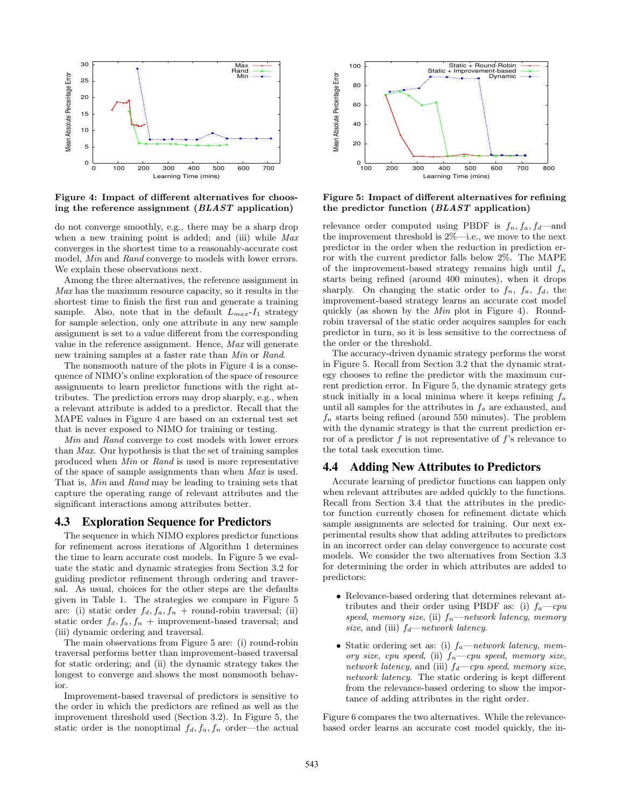

Figure 4: Impact of different alternatives for choosing the reference assignment (BLAST application)

do not converge smoothly, e.g., there may be a sharp drop when a new training point is added; and (iii) while  $Max$ converges in the shortest time to a reasonably-accurate cost model, Min and Rand converge to models with lower errors. We explain these observations next.

Among the three alternatives, the reference assignment in  $Max$  has the maximum resource capacity, so it results in the shortest time to finish the first run and generate a training sample. Also, note that in the default  $L_{max}$ - $I_1$  strategy for sample selection, only one attribute in any new sample assignment is set to a value different from the corresponding value in the reference assignment. Hence, Max will generate new training samples at a faster rate than Min or Rand.

The nonsmooth nature of the plots in Figure 4 is a consequence of NIMO's online exploration of the space of resource assignments to learn predictor functions with the right attributes. The prediction errors may drop sharply, e.g., when a relevant attribute is added to a predictor. Recall that the MAPE values in Figure 4 are based on an external test set that is never exposed to NIMO for training or testing.

Min and Rand converge to cost models with lower errors than Max. Our hypothesis is that the set of training samples produced when Min or Rand is used is more representative of the space of sample assignments than when Max is used. That is, Min and Rand may be leading to training sets that capture the operating range of relevant attributes and the significant interactions among attributes better.

## **4.3 Exploration Sequence for Predictors**

The sequence in which NIMO explores predictor functions for refinement across iterations of Algorithm 1 determines the time to learn accurate cost models. In Figure 5 we evaluate the static and dynamic strategies from Section 3.2 for guiding predictor refinement through ordering and traversal. As usual, choices for the other steps are the defaults given in Table 1. The strategies we compare in Figure 5 are: (i) static order  $f_d, f_a, f_n$  + round-robin traversal; (ii) static order  $f_d, f_a, f_n$  + improvement-based traversal; and (iii) dynamic ordering and traversal.

The main observations from Figure 5 are: (i) round-robin traversal performs better than improvement-based traversal for static ordering; and (ii) the dynamic strategy takes the longest to converge and shows the most nonsmooth behavior.

Improvement-based traversal of predictors is sensitive to the order in which the predictors are refined as well as the improvement threshold used (Section 3.2). In Figure 5, the static order is the nonoptimal  $f_d, f_a, f_n$  order—the actual



Figure 5: Impact of different alternatives for refining the predictor function (BLAST application)

relevance order computed using PBDF is  $f_n, f_a, f_d$ —and the improvement threshold is 2%—i.e., we move to the next predictor in the order when the reduction in prediction error with the current predictor falls below 2%. The MAPE of the improvement-based strategy remains high until  $f_n$ starts being refined (around 400 minutes), when it drops sharply. On changing the static order to  $f_n$ ,  $f_a$ ,  $f_d$ , the improvement-based strategy learns an accurate cost model quickly (as shown by the Min plot in Figure 4). Roundrobin traversal of the static order acquires samples for each predictor in turn, so it is less sensitive to the correctness of the order or the threshold.

The accuracy-driven dynamic strategy performs the worst in Figure 5. Recall from Section 3.2 that the dynamic strategy chooses to refine the predictor with the maximum current prediction error. In Figure 5, the dynamic strategy gets stuck initially in a local minima where it keeps refining  $f_a$ until all samples for the attributes in  $f_a$  are exhausted, and  $f_n$  starts being refined (around 550 minutes). The problem with the dynamic strategy is that the current prediction error of a predictor  $f$  is not representative of  $f$ 's relevance to the total task execution time.

#### **4.4 Adding New Attributes to Predictors**

Accurate learning of predictor functions can happen only when relevant attributes are added quickly to the functions. Recall from Section 3.4 that the attributes in the predictor function currently chosen for refinement dictate which sample assignments are selected for training. Our next experimental results show that adding attributes to predictors in an incorrect order can delay convergence to accurate cost models. We consider the two alternatives from Section 3.3 for determining the order in which attributes are added to predictors:

- Relevance-based ordering that determines relevant attributes and their order using PBDF as: (i)  $f_a$ —cpu speed, memory size, (ii)  $f_n$ —network latency, memory size, and (iii)  $f_d$ —network latency.
- Static ordering set as: (i)  $f_a$ —network latency, memory size, cpu speed, (ii)  $f_n$ —cpu speed, memory size, network latency, and (iii)  $f_d$ —cpu speed, memory size, network latency. The static ordering is kept different from the relevance-based ordering to show the importance of adding attributes in the right order.

Figure 6 compares the two alternatives. While the relevancebased order learns an accurate cost model quickly, the in-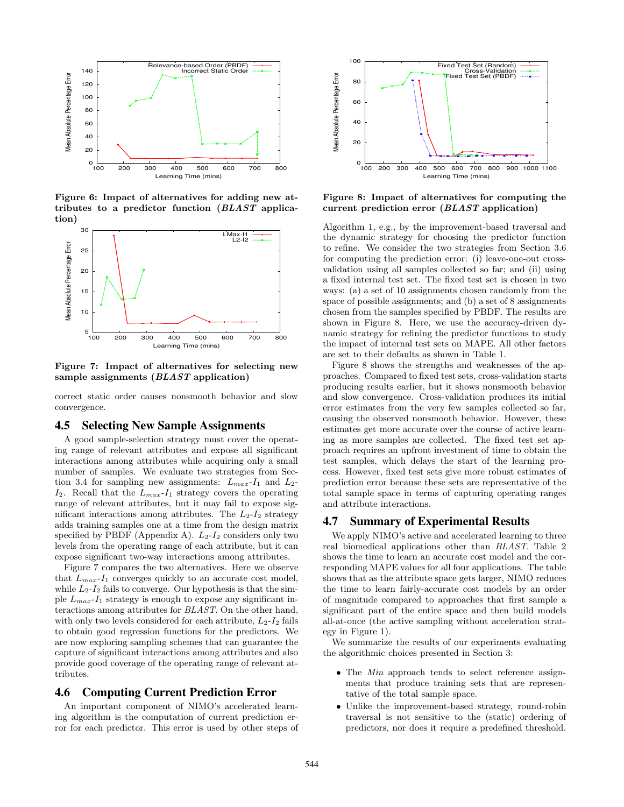

Figure 6: Impact of alternatives for adding new attributes to a predictor function (BLAST application)



Figure 7: Impact of alternatives for selecting new sample assignments *(BLAST application)* 

correct static order causes nonsmooth behavior and slow convergence.

#### **4.5 Selecting New Sample Assignments**

A good sample-selection strategy must cover the operating range of relevant attributes and expose all significant interactions among attributes while acquiring only a small number of samples. We evaluate two strategies from Section 3.4 for sampling new assignments:  $L_{max} - I_1$  and  $L_2$ - $I_2$ . Recall that the  $L_{max}$ - $I_1$  strategy covers the operating range of relevant attributes, but it may fail to expose significant interactions among attributes. The  $L_2-I_2$  strategy adds training samples one at a time from the design matrix specified by PBDF (Appendix A).  $L_2-I_2$  considers only two levels from the operating range of each attribute, but it can expose significant two-way interactions among attributes.

Figure 7 compares the two alternatives. Here we observe that  $L_{max}$ - $I_1$  converges quickly to an accurate cost model, while  $L_2-I_2$  fails to converge. Our hypothesis is that the simple  $L_{max}$ - $I_1$  strategy is enough to expose any significant interactions among attributes for BLAST. On the other hand, with only two levels considered for each attribute,  $L_2 - I_2$  fails to obtain good regression functions for the predictors. We are now exploring sampling schemes that can guarantee the capture of significant interactions among attributes and also provide good coverage of the operating range of relevant attributes.

# **4.6 Computing Current Prediction Error**

An important component of NIMO's accelerated learning algorithm is the computation of current prediction error for each predictor. This error is used by other steps of



Figure 8: Impact of alternatives for computing the current prediction error (BLAST application)

Algorithm 1, e.g., by the improvement-based traversal and the dynamic strategy for choosing the predictor function to refine. We consider the two strategies from Section 3.6 for computing the prediction error: (i) leave-one-out crossvalidation using all samples collected so far; and (ii) using a fixed internal test set. The fixed test set is chosen in two ways: (a) a set of 10 assignments chosen randomly from the space of possible assignments; and (b) a set of 8 assignments chosen from the samples specified by PBDF. The results are shown in Figure 8. Here, we use the accuracy-driven dynamic strategy for refining the predictor functions to study the impact of internal test sets on MAPE. All other factors are set to their defaults as shown in Table 1.

Figure 8 shows the strengths and weaknesses of the approaches. Compared to fixed test sets, cross-validation starts producing results earlier, but it shows nonsmooth behavior and slow convergence. Cross-validation produces its initial error estimates from the very few samples collected so far, causing the observed nonsmooth behavior. However, these estimates get more accurate over the course of active learning as more samples are collected. The fixed test set approach requires an upfront investment of time to obtain the test samples, which delays the start of the learning process. However, fixed test sets give more robust estimates of prediction error because these sets are representative of the total sample space in terms of capturing operating ranges and attribute interactions.

## **4.7 Summary of Experimental Results**

We apply NIMO's active and accelerated learning to three real biomedical applications other than BLAST. Table 2 shows the time to learn an accurate cost model and the corresponding MAPE values for all four applications. The table shows that as the attribute space gets larger, NIMO reduces the time to learn fairly-accurate cost models by an order of magnitude compared to approaches that first sample a significant part of the entire space and then build models all-at-once (the active sampling without acceleration strategy in Figure 1).

We summarize the results of our experiments evaluating the algorithmic choices presented in Section 3:

- The *Min* approach tends to select reference assignments that produce training sets that are representative of the total sample space.
- Unlike the improvement-based strategy, round-robin traversal is not sensitive to the (static) ordering of predictors, nor does it require a predefined threshold.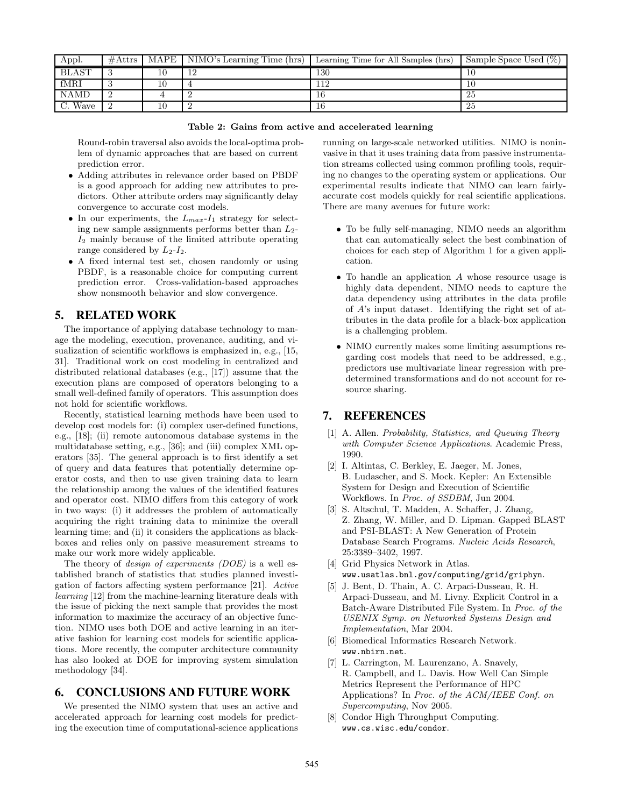| Appl.        | #Attrs | $\overline{\text{MAPE}}$   NIMO's Learning Time (hrs) | Learning Time for All Samples (hrs) | Sample Space Used $(\%)$ |
|--------------|--------|-------------------------------------------------------|-------------------------------------|--------------------------|
| <b>BLAST</b> |        | 12                                                    | 130                                 |                          |
| fMRI         |        |                                                       | 1 ິ                                 |                          |
| <b>NAMD</b>  |        |                                                       |                                     | -25                      |
| C. Wave      |        |                                                       |                                     | -25                      |

|  |  |  | Table 2: Gains from active and accelerated learning |  |
|--|--|--|-----------------------------------------------------|--|
|--|--|--|-----------------------------------------------------|--|

Round-robin traversal also avoids the local-optima problem of dynamic approaches that are based on current prediction error.

- Adding attributes in relevance order based on PBDF is a good approach for adding new attributes to predictors. Other attribute orders may significantly delay convergence to accurate cost models.
- In our experiments, the  $L_{max}$ - $I_1$  strategy for selecting new sample assignments performs better than  $L_2$ - $I_2$  mainly because of the limited attribute operating range considered by  $L_2-I_2$ .
- A fixed internal test set, chosen randomly or using PBDF, is a reasonable choice for computing current prediction error. Cross-validation-based approaches show nonsmooth behavior and slow convergence.

# **5. RELATED WORK**

The importance of applying database technology to manage the modeling, execution, provenance, auditing, and visualization of scientific workflows is emphasized in, e.g., [15, 31]. Traditional work on cost modeling in centralized and distributed relational databases (e.g., [17]) assume that the execution plans are composed of operators belonging to a small well-defined family of operators. This assumption does not hold for scientific workflows.

Recently, statistical learning methods have been used to develop cost models for: (i) complex user-defined functions, e.g., [18]; (ii) remote autonomous database systems in the multidatabase setting, e.g., [36]; and (iii) complex XML operators [35]. The general approach is to first identify a set of query and data features that potentially determine operator costs, and then to use given training data to learn the relationship among the values of the identified features and operator cost. NIMO differs from this category of work in two ways: (i) it addresses the problem of automatically acquiring the right training data to minimize the overall learning time; and (ii) it considers the applications as blackboxes and relies only on passive measurement streams to make our work more widely applicable.

The theory of *design of experiments (DOE)* is a well established branch of statistics that studies planned investigation of factors affecting system performance [21]. Active learning [12] from the machine-learning literature deals with the issue of picking the next sample that provides the most information to maximize the accuracy of an objective function. NIMO uses both DOE and active learning in an iterative fashion for learning cost models for scientific applications. More recently, the computer architecture community has also looked at DOE for improving system simulation methodology [34].

# **6. CONCLUSIONS AND FUTURE WORK**

We presented the NIMO system that uses an active and accelerated approach for learning cost models for predicting the execution time of computational-science applications running on large-scale networked utilities. NIMO is noninvasive in that it uses training data from passive instrumentation streams collected using common profiling tools, requiring no changes to the operating system or applications. Our experimental results indicate that NIMO can learn fairlyaccurate cost models quickly for real scientific applications. There are many avenues for future work:

- To be fully self-managing, NIMO needs an algorithm that can automatically select the best combination of choices for each step of Algorithm 1 for a given application.
- To handle an application A whose resource usage is highly data dependent, NIMO needs to capture the data dependency using attributes in the data profile of A's input dataset. Identifying the right set of attributes in the data profile for a black-box application is a challenging problem.
- NIMO currently makes some limiting assumptions regarding cost models that need to be addressed, e.g., predictors use multivariate linear regression with predetermined transformations and do not account for resource sharing.

# **7. REFERENCES**

- [1] A. Allen. Probability, Statistics, and Queuing Theory with Computer Science Applications. Academic Press, 1990.
- [2] I. Altintas, C. Berkley, E. Jaeger, M. Jones, B. Ludascher, and S. Mock. Kepler: An Extensible System for Design and Execution of Scientific Workflows. In Proc. of SSDBM, Jun 2004.
- [3] S. Altschul, T. Madden, A. Schaffer, J. Zhang, Z. Zhang, W. Miller, and D. Lipman. Gapped BLAST and PSI-BLAST: A New Generation of Protein Database Search Programs. Nucleic Acids Research, 25:3389–3402, 1997.
- [4] Grid Physics Network in Atlas. www.usatlas.bnl.gov/computing/grid/griphyn.
- [5] J. Bent, D. Thain, A. C. Arpaci-Dusseau, R. H. Arpaci-Dusseau, and M. Livny. Explicit Control in a Batch-Aware Distributed File System. In Proc. of the USENIX Symp. on Networked Systems Design and Implementation, Mar 2004.
- [6] Biomedical Informatics Research Network. www.nbirn.net.
- [7] L. Carrington, M. Laurenzano, A. Snavely, R. Campbell, and L. Davis. How Well Can Simple Metrics Represent the Performance of HPC Applications? In Proc. of the ACM/IEEE Conf. on Supercomputing, Nov 2005.
- [8] Condor High Throughput Computing. www.cs.wisc.edu/condor.